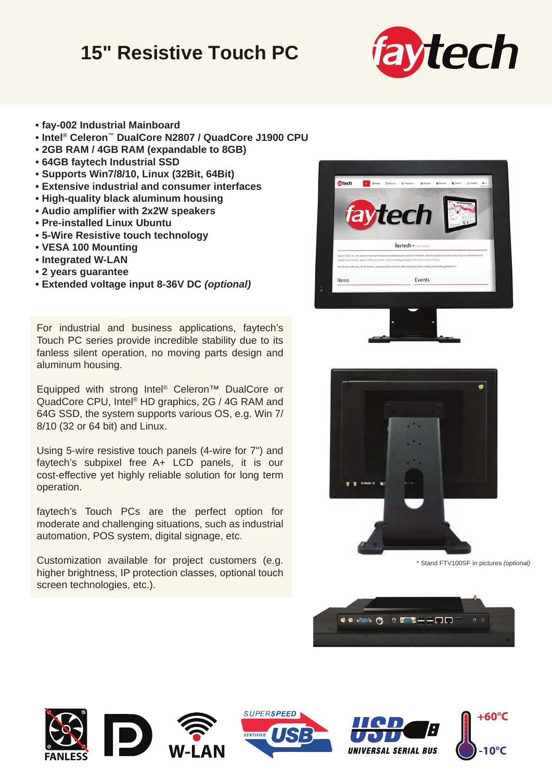## **15" Resistive Touch PC**



- **fay-002 Industrial Mainboard**
- **Intel® Celeron™ DualCore N2807 / QuadCore J1900 CPU**
- **2GB RAM / 4GB RAM (expandable to 8GB)**
- **64GB faytech Industrial SSD**
- **Supports Win7/8/10, Linux (32Bit, 64Bit)**
- **Extensive industrial and consumer interfaces**
- **High-quality black aluminum housing**
- **Audio amplifier with 2x2W speakers**
- **Pre-installed Linux Ubuntu**
- **5-Wire Resistive touch technology**
- **VESA 100 Mounting**
- **Integrated W-LAN**
- **2 years guarantee**
- **Extended voltage input 8-36V DC** *(optional)*

For industrial and business applications, faytech's Touch PC series provide incredible stability due to its fanless silent operation, no moving parts design and aluminum housing.

Equipped with strong Intel® Celeron™ DualCore or QuadCore CPU, Intel® HD graphics, 2G / 4G RAM and 64G SSD, the system supports various OS, e.g. Win 7/ 8/10 (32 or 64 bit) and Linux.

Using 5-wire resistive touch panels (4-wire for 7") and faytech's subpixel free A+ LCD panels, it is our cost-effective yet highly reliable solution for long term operation.

faytech's Touch PCs are the perfect option for moderate and challenging situations, such as industrial automation, POS system, digital signage, etc.

Customization available for project customers (e.g. higher brightness, IP protection classes, optional touch screen technologies, etc.).





\* Stand FTV100SF in pictures *(optional)*